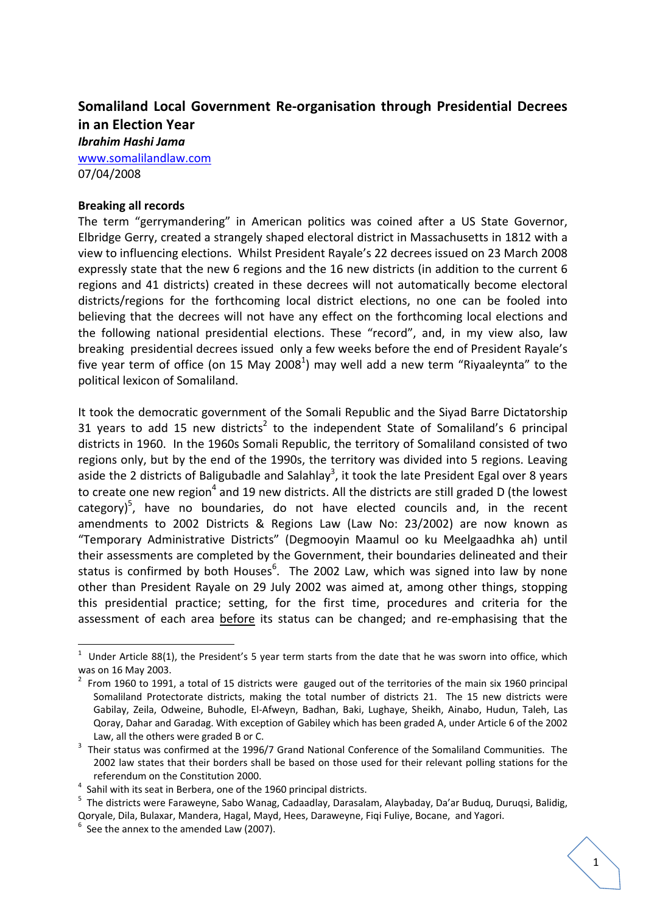# **Somaliland Local Government Re‐organisation through Presidential Decrees in an Election Year**

*Ibrahim Hashi Jama* www.somalilandlaw.com

07/04/2008

## **Breaking all records**

The term "gerrymandering" in American politics was coined after a US State Governor, Elbridge Gerry, created a strangely shaped electoral district in Massachusetts in 1812 with a view to influencing elections. Whilst President Rayale's 22 decrees issued on 23 March 2008 expressly state that the new 6 regions and the 16 new districts (in addition to the current 6 regions and 41 districts) created in these decrees will not automatically become electoral districts/regions for the forthcoming local district elections, no one can be fooled into believing that the decrees will not have any effect on the forthcoming local elections and the following national presidential elections. These "record", and, in my view also, law breaking presidential decrees issued only a few weeks before the end of President Rayale's five year term of office (on 15 May 2008<sup>1</sup>) may well add a new term "Riyaaleynta" to the political lexicon of Somaliland.

It took the democratic government of the Somali Republic and the Siyad Barre Dictatorship 31 years to add 15 new districts<sup>2</sup> to the independent State of Somaliland's 6 principal districts in 1960. In the 1960s Somali Republic, the territory of Somaliland consisted of two regions only, but by the end of the 1990s, the territory was divided into 5 regions. Leaving aside the 2 districts of Baligubadle and Salahlay<sup>3</sup>, it took the late President Egal over 8 years to create one new region<sup>4</sup> and 19 new districts. All the districts are still graded D (the lowest category)<sup>5</sup>, have no boundaries, do not have elected councils and, in the recent amendments to 2002 Districts & Regions Law (Law No: 23/2002) are now known as "Temporary Administrative Districts" (Degmooyin Maamul oo ku Meelgaadhka ah) until their assessments are completed by the Government, their boundaries delineated and their status is confirmed by both Houses<sup>6</sup>. The 2002 Law, which was signed into law by none other than President Rayale on 29 July 2002 was aimed at, among other things, stopping this presidential practice; setting, for the first time, procedures and criteria for the assessment of each area before its status can be changed; and re-emphasising that the

 $1$  Under Article 88(1), the President's 5 year term starts from the date that he was sworn into office, which

was on 16 May 2003.<br><sup>2</sup> From 1960 to 1991, a total of 15 districts were gauged out of the territories of the main six 1960 principal Somaliland Protectorate districts, making the total number of districts 21. The 15 new districts were Gabilay, Zeila, Odweine, Buhodle, El‐Afweyn, Badhan, Baki, Lughaye, Sheikh, Ainabo, Hudun, Taleh, Las Qoray, Dahar and Garadag. With exception of Gabiley which has been graded A, under Article 6 of the 2002 Law, all the others were graded B or C.

<sup>&</sup>lt;sup>3</sup> Their status was confirmed at the 1996/7 Grand National Conference of the Somaliland Communities. The 2002 law states that their borders shall be based on those used for their relevant polling stations for the referendum on the Constitution 2000. <sup>4</sup>

 $4$  Sahil with its seat in Berbera, one of the 1960 principal districts.

<sup>&</sup>lt;sup>5</sup> The districts were Faraweyne, Sabo Wanag, Cadaadlay, Darasalam, Alaybaday, Da'ar Buduq, Duruqsi, Balidig, Qoryale, Dila, Bulaxar, Mandera, Hagal, Mayd, Hees, Daraweyne, Fiqi Fuliye, Bocane, and Yagori. <sup>6</sup>

 $6$  See the annex to the amended Law (2007).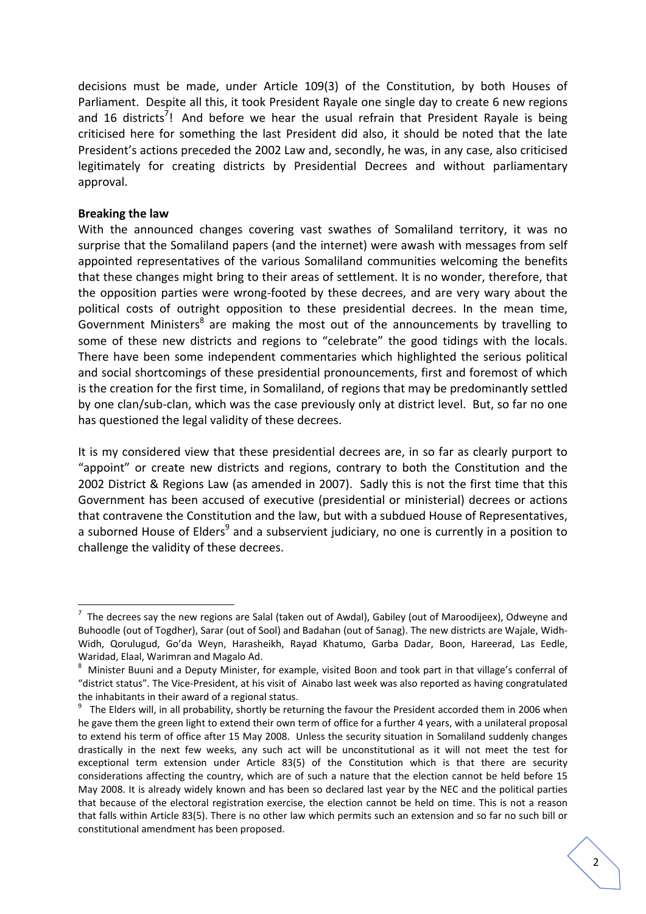decisions must be made, under Article 109(3) of the Constitution, by both Houses of Parliament. Despite all this, it took President Rayale one single day to create 6 new regions and 16 districts<sup>7</sup>! And before we hear the usual refrain that President Rayale is being criticised here for something the last President did also, it should be noted that the late President's actions preceded the 2002 Law and, secondly, he was, in any case, also criticised legitimately for creating districts by Presidential Decrees and without parliamentary approval.

#### **Breaking the law**

With the announced changes covering vast swathes of Somaliland territory, it was no surprise that the Somaliland papers (and the internet) were awash with messages from self appointed representatives of the various Somaliland communities welcoming the benefits that these changes might bring to their areas of settlement. It is no wonder, therefore, that the opposition parties were wrong‐footed by these decrees, and are very wary about the political costs of outright opposition to these presidential decrees. In the mean time, Government Ministers<sup>8</sup> are making the most out of the announcements by travelling to some of these new districts and regions to "celebrate" the good tidings with the locals. There have been some independent commentaries which highlighted the serious political and social shortcomings of these presidential pronouncements, first and foremost of which is the creation for the first time, in Somaliland, of regions that may be predominantly settled by one clan/sub‐clan, which was the case previously only at district level. But, so far no one has questioned the legal validity of these decrees.

It is my considered view that these presidential decrees are, in so far as clearly purport to "appoint" or create new districts and regions, contrary to both the Constitution and the 2002 District & Regions Law (as amended in 2007). Sadly this is not the first time that this Government has been accused of executive (presidential or ministerial) decrees or actions that contravene the Constitution and the law, but with a subdued House of Representatives, a suborned House of Elders<sup>9</sup> and a subservient judiciary, no one is currently in a position to challenge the validity of these decrees.

<sup>7</sup> The decrees say the new regions are Salal (taken out of Awdal), Gabiley (out of Maroodijeex), Odweyne and Buhoodle (out of Togdher), Sarar (out of Sool) and Badahan (out of Sanag). The new districts are Wajale, Widh‐ Widh, Qorulugud, Go'da Weyn, Harasheikh, Rayad Khatumo, Garba Dadar, Boon, Hareerad, Las Eedle, Waridad, Elaal, Warimran and Magalo Ad. <sup>8</sup>

Minister Buuni and a Deputy Minister, for example, visited Boon and took part in that village's conferral of "district status". The Vice‐President, at his visit of Ainabo last week was also reported as having congratulated the inhabitants in their award of a regional status.

 $9$  The Elders will, in all probability, shortly be returning the favour the President accorded them in 2006 when he gave them the green light to extend their own term of office for a further 4 years, with a unilateral proposal to extend his term of office after 15 May 2008. Unless the security situation in Somaliland suddenly changes drastically in the next few weeks, any such act will be unconstitutional as it will not meet the test for exceptional term extension under Article 83(5) of the Constitution which is that there are security considerations affecting the country, which are of such a nature that the election cannot be held before 15 May 2008. It is already widely known and has been so declared last year by the NEC and the political parties that because of the electoral registration exercise, the election cannot be held on time. This is not a reason that falls within Article 83(5). There is no other law which permits such an extension and so far no such bill or constitutional amendment has been proposed.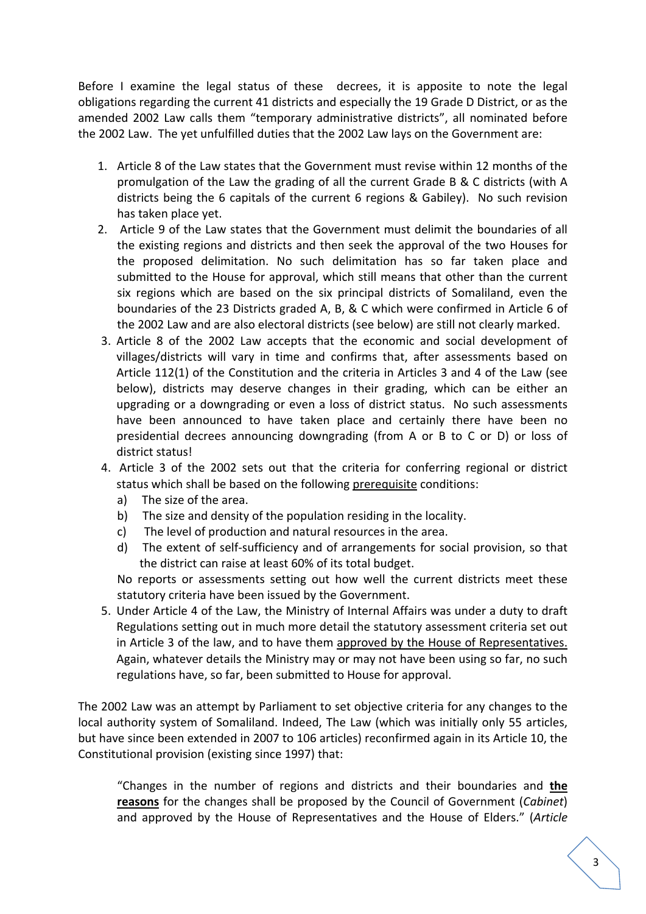Before I examine the legal status of these decrees, it is apposite to note the legal obligations regarding the current 41 districts and especially the 19 Grade D District, or as the amended 2002 Law calls them "temporary administrative districts", all nominated before the 2002 Law. The yet unfulfilled duties that the 2002 Law lays on the Government are:

- 1. Article 8 of the Law states that the Government must revise within 12 months of the promulgation of the Law the grading of all the current Grade B & C districts (with A districts being the 6 capitals of the current 6 regions & Gabiley). No such revision has taken place yet.
- 2. Article 9 of the Law states that the Government must delimit the boundaries of all the existing regions and districts and then seek the approval of the two Houses for the proposed delimitation. No such delimitation has so far taken place and submitted to the House for approval, which still means that other than the current six regions which are based on the six principal districts of Somaliland, even the boundaries of the 23 Districts graded A, B, & C which were confirmed in Article 6 of the 2002 Law and are also electoral districts (see below) are still not clearly marked.
- 3. Article 8 of the 2002 Law accepts that the economic and social development of villages/districts will vary in time and confirms that, after assessments based on Article 112(1) of the Constitution and the criteria in Articles 3 and 4 of the Law (see below), districts may deserve changes in their grading, which can be either an upgrading or a downgrading or even a loss of district status. No such assessments have been announced to have taken place and certainly there have been no presidential decrees announcing downgrading (from A or B to C or D) or loss of district status!
- 4. Article 3 of the 2002 sets out that the criteria for conferring regional or district status which shall be based on the following prerequisite conditions:
	- a) The size of the area.
	- b) The size and density of the population residing in the locality.
	- c) The level of production and natural resources in the area.
	- d) The extent of self‐sufficiency and of arrangements for social provision, so that the district can raise at least 60% of its total budget.

No reports or assessments setting out how well the current districts meet these statutory criteria have been issued by the Government.

5. Under Article 4 of the Law, the Ministry of Internal Affairs was under a duty to draft Regulations setting out in much more detail the statutory assessment criteria set out in Article 3 of the law, and to have them approved by the House of Representatives. Again, whatever details the Ministry may or may not have been using so far, no such regulations have, so far, been submitted to House for approval.

The 2002 Law was an attempt by Parliament to set objective criteria for any changes to the local authority system of Somaliland. Indeed, The Law (which was initially only 55 articles, but have since been extended in 2007 to 106 articles) reconfirmed again in its Article 10, the Constitutional provision (existing since 1997) that:

"Changes in the number of regions and districts and their boundaries and **the reasons** for the changes shall be proposed by the Council of Government (*Cabinet*) and approved by the House of Representatives and the House of Elders." (*Article*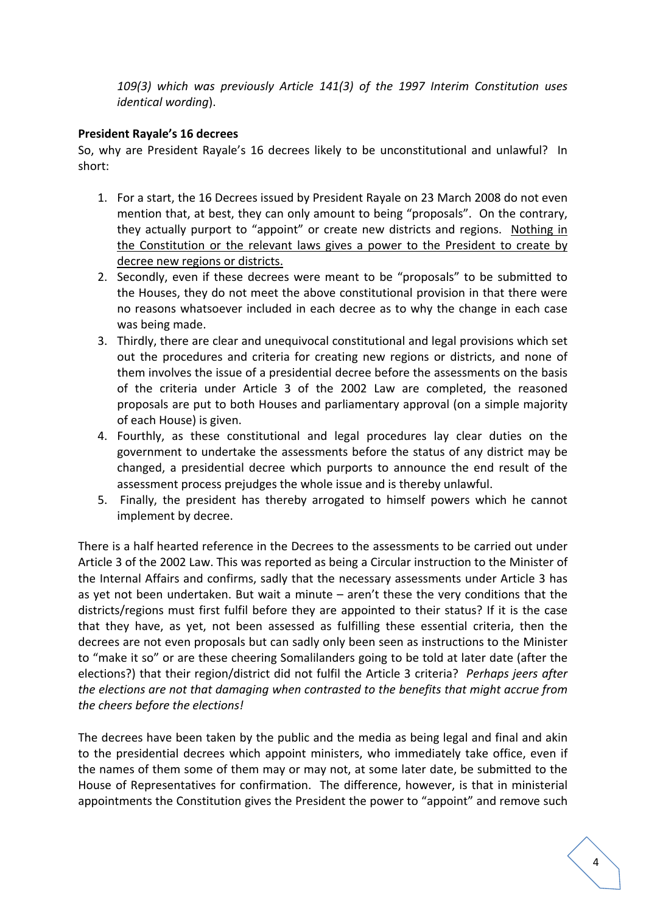*109(3) which was previously Article 141(3) of the 1997 Interim Constitution uses identical wording*).

## **President Rayale's 16 decrees**

So, why are President Rayale's 16 decrees likely to be unconstitutional and unlawful? In short:

- 1. For a start, the 16 Decrees issued by President Rayale on 23 March 2008 do not even mention that, at best, they can only amount to being "proposals". On the contrary, they actually purport to "appoint" or create new districts and regions. Nothing in the Constitution or the relevant laws gives a power to the President to create by decree new regions or districts.
- 2. Secondly, even if these decrees were meant to be "proposals" to be submitted to the Houses, they do not meet the above constitutional provision in that there were no reasons whatsoever included in each decree as to why the change in each case was being made.
- 3. Thirdly, there are clear and unequivocal constitutional and legal provisions which set out the procedures and criteria for creating new regions or districts, and none of them involves the issue of a presidential decree before the assessments on the basis of the criteria under Article 3 of the 2002 Law are completed, the reasoned proposals are put to both Houses and parliamentary approval (on a simple majority of each House) is given.
- 4. Fourthly, as these constitutional and legal procedures lay clear duties on the government to undertake the assessments before the status of any district may be changed, a presidential decree which purports to announce the end result of the assessment process prejudges the whole issue and is thereby unlawful.
- 5. Finally, the president has thereby arrogated to himself powers which he cannot implement by decree.

There is a half hearted reference in the Decrees to the assessments to be carried out under Article 3 of the 2002 Law. This was reported as being a Circular instruction to the Minister of the Internal Affairs and confirms, sadly that the necessary assessments under Article 3 has as yet not been undertaken. But wait a minute – aren't these the very conditions that the districts/regions must first fulfil before they are appointed to their status? If it is the case that they have, as yet, not been assessed as fulfilling these essential criteria, then the decrees are not even proposals but can sadly only been seen as instructions to the Minister to "make it so" or are these cheering Somalilanders going to be told at later date (after the elections?) that their region/district did not fulfil the Article 3 criteria? *Perhaps jeers after the elections are not that damaging when contrasted to the benefits that might accrue from the cheers before the elections!*

The decrees have been taken by the public and the media as being legal and final and akin to the presidential decrees which appoint ministers, who immediately take office, even if the names of them some of them may or may not, at some later date, be submitted to the House of Representatives for confirmation. The difference, however, is that in ministerial appointments the Constitution gives the President the power to "appoint" and remove such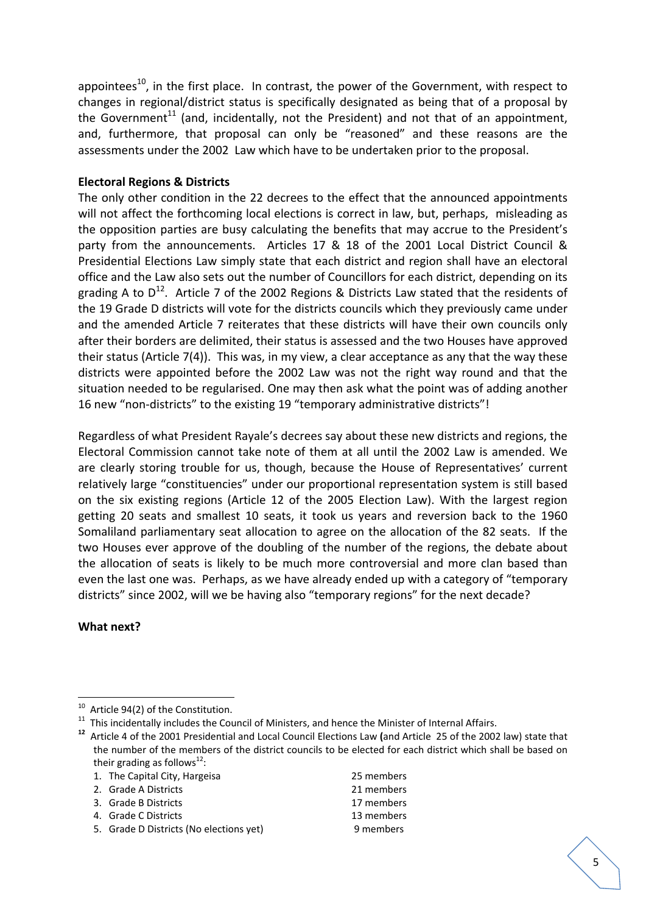appointees<sup>10</sup>, in the first place. In contrast, the power of the Government, with respect to changes in regional/district status is specifically designated as being that of a proposal by the Government<sup>11</sup> (and, incidentally, not the President) and not that of an appointment, and, furthermore, that proposal can only be "reasoned" and these reasons are the assessments under the 2002 Law which have to be undertaken prior to the proposal.

## **Electoral Regions & Districts**

The only other condition in the 22 decrees to the effect that the announced appointments will not affect the forthcoming local elections is correct in law, but, perhaps, misleading as the opposition parties are busy calculating the benefits that may accrue to the President's party from the announcements. Articles 17 & 18 of the 2001 Local District Council & Presidential Elections Law simply state that each district and region shall have an electoral office and the Law also sets out the number of Councillors for each district, depending on its grading A to  $D^{12}$ . Article 7 of the 2002 Regions & Districts Law stated that the residents of the 19 Grade D districts will vote for the districts councils which they previously came under and the amended Article 7 reiterates that these districts will have their own councils only after their borders are delimited, their status is assessed and the two Houses have approved their status (Article 7(4)). This was, in my view, a clear acceptance as any that the way these districts were appointed before the 2002 Law was not the right way round and that the situation needed to be regularised. One may then ask what the point was of adding another 16 new "non-districts" to the existing 19 "temporary administrative districts"!

Regardless of what President Rayale's decrees say about these new districts and regions, the Electoral Commission cannot take note of them at all until the 2002 Law is amended. We are clearly storing trouble for us, though, because the House of Representatives' current relatively large "constituencies" under our proportional representation system is still based on the six existing regions (Article 12 of the 2005 Election Law). With the largest region getting 20 seats and smallest 10 seats, it took us years and reversion back to the 1960 Somaliland parliamentary seat allocation to agree on the allocation of the 82 seats. If the two Houses ever approve of the doubling of the number of the regions, the debate about the allocation of seats is likely to be much more controversial and more clan based than even the last one was. Perhaps, as we have already ended up with a category of "temporary districts" since 2002, will we be having also "temporary regions" for the next decade?

## **What next?**

2. Grade A Districts 21 members

4. Grade C Districts 13 members

<sup>&</sup>lt;sup>10</sup> Article 94(2) of the Constitution.

<sup>&</sup>lt;sup>11</sup> This incidentally includes the Council of Ministers, and hence the Minister of Internal Affairs.<br><sup>12</sup> Article 4 of the 2001 Presidential and Local Council Elections Law (and Article 25 of the 2002 law) state that the number of the members of the district councils to be elected for each district which shall be based on their grading as follows<sup>12</sup>:

<sup>1.</sup> The Capital City, Hargeisa 25 members

<sup>3.</sup> Grade B Districts **17 members** 

<sup>5.</sup> Grade D Districts (No elections yet) 9 members